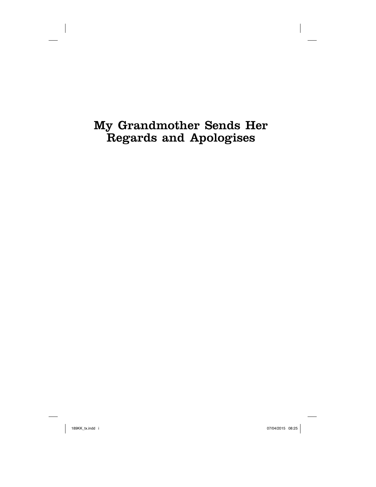My Grandmother Sends Her Regards and Apologises

189KK\_tx.indd i 89KK\_tx.indd i 89.25 7/04/2015 08:25 7/04/2015 08:25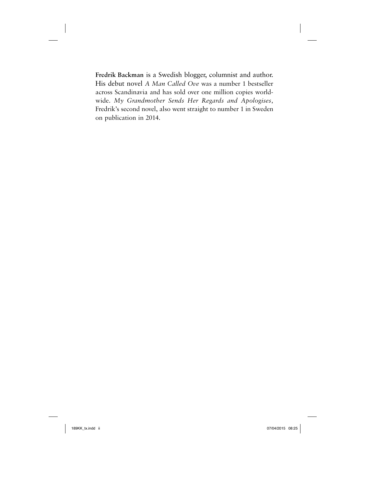**Fredrik Backman** is a Swedish blogger, columnist and author. His debut novel *A Man Called Ove* was a number 1 bestseller across Scandinavia and has sold over one million copies worldwide. *My Grandmother Sends Her Regards and Apologises*, Fredrik's second novel, also went straight to number 1 in Sweden on publication in 2014.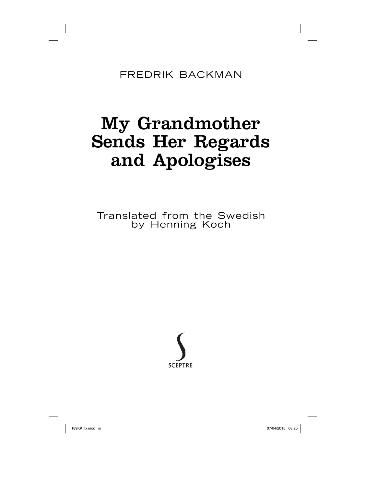FREDRIK BACKMAN

## My Grandmother Sends Her Regards and Apologises

Translated from the Swedish by Henning Koch



189KK\_tx.indd iii 89KK\_tx.indd iii 89KK\_tx.indd iii 89KK\_tx.indd iii 89KK\_tx.indd iii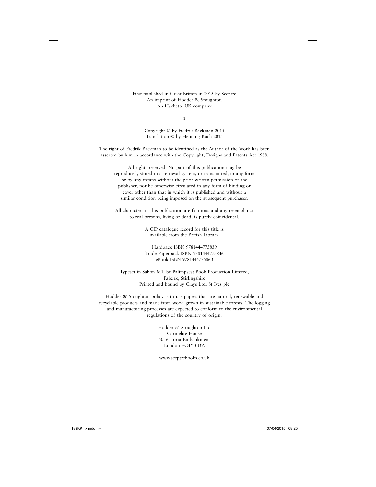First published in Great Britain in 2015 by Sceptre An imprint of Hodder & Stoughton An Hachette UK company

1

Copyright © by Fredrik Backman 2015 Translation © by Henning Koch 2015

The right of Fredrik Backman to be identified as the Author of the Work has been asserted by him in accordance with the Copyright, Designs and Patents Act 1988.

All rights reserved. No part of this publication may be reproduced, stored in a retrieval system, or transmitted, in any form or by any means without the prior written permission of the publisher, nor be otherwise circulated in any form of binding or cover other than that in which it is published and without a similar condition being imposed on the subsequent purchaser.

All characters in this publication are fictitious and any resemblance to real persons, living or dead, is purely coincidental.

> A CIP catalogue record for this title is available from the British Library

> Hardback ISBN 9781444775839 Trade Paperback ISBN 9781444775846 eBook ISBN 9781444775860

Typeset in Sabon MT by Palimpsest Book Production Limited, Falkirk, Stirlingshire Printed and bound by Clays Ltd, St Ives plc

Hodder & Stoughton policy is to use papers that are natural, renewable and recyclable products and made from wood grown in sustainable forests. The logging and manufacturing processes are expected to conform to the environmental regulations of the country of origin.

> Hodder & Stoughton Ltd Carmelite House 50 Victoria Embankment London EC4Y 0DZ

www.sceptrebooks.co.uk

189KK\_tx.indd iv 89KK\_tx.indd 07/04/2015 08:25 7/04/2015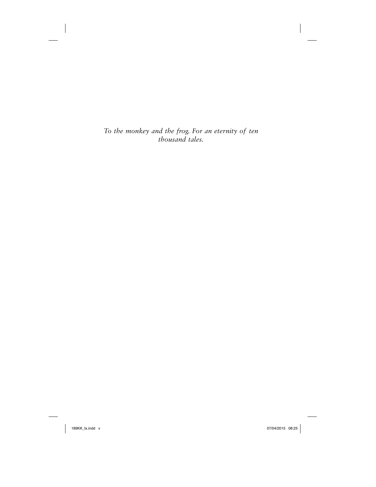*To the monkey and the frog. For an eternity of ten thousand tales.*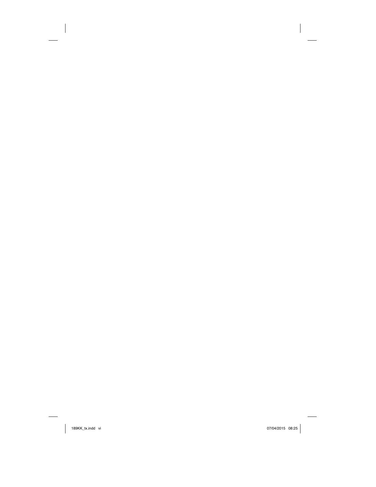189KK\_tx.indd vi 89KK\_tx.indd vi 89KK and 07/04/2015 08:25  $\frac{1}{8}$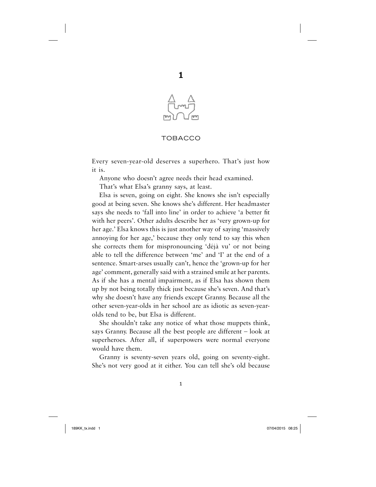

## TOBACCO

Every seven-year-old deserves a superhero. That's just how it is.

Anyone who doesn't agree needs their head examined.

That's what Elsa's granny says, at least.

Elsa is seven, going on eight. She knows she isn't especially good at being seven. She knows she's different. Her headmaster says she needs to 'fall into line' in order to achieve 'a better fit with her peers'. Other adults describe her as 'very grown-up for her age.' Elsa knows this is just another way of saying 'massively annoying for her age,' because they only tend to say this when she corrects them for mispronouncing 'déjà vu' or not being able to tell the difference between 'me' and 'I' at the end of a sentence. Smart-arses usually can't, hence the 'grown-up for her age' comment, generally said with a strained smile at her parents. As if she has a mental impairment, as if Elsa has shown them up by not being totally thick just because she's seven. And that's why she doesn't have any friends except Granny. Because all the other seven-year-olds in her school are as idiotic as seven-yearolds tend to be, but Elsa is different.

She shouldn't take any notice of what those muppets think, says Granny. Because all the best people are different – look at superheroes. After all, if superpowers were normal everyone would have them.

Granny is seventy-seven years old, going on seventy-eight. She's not very good at it either. You can tell she's old because

1

189KK\_tx.indd 1 89KK\_tx.indd 07/04/2015 08:25 7/04/2015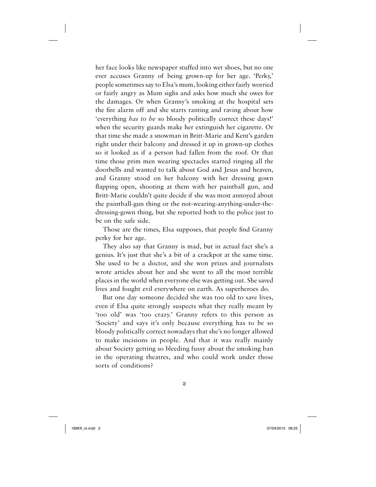her face looks like newspaper stuffed into wet shoes, but no one ever accuses Granny of being grown-up for her age. 'Perky,' people sometimes say to Elsa's mum, looking either fairly worried or fairly angry as Mum sighs and asks how much she owes for the damages. Or when Granny's smoking at the hospital sets the fire alarm off and she starts ranting and raving about how 'everything *has to be* so bloody politically correct these days!' when the security guards make her extinguish her cigarette. Or that time she made a snowman in Britt-Marie and Kent's garden right under their balcony and dressed it up in grown-up clothes so it looked as if a person had fallen from the roof. Or that time those prim men wearing spectacles started ringing all the doorbells and wanted to talk about God and Jesus and heaven, and Granny stood on her balcony with her dressing gown flapping open, shooting at them with her paintball gun, and Britt-Marie couldn't quite decide if she was most annoyed about the paintball-gun thing or the not-wearing-anything-under-thedressing-gown thing, but she reported both to the police just to be on the safe side.

Those are the times, Elsa supposes, that people find Granny perky for her age.

They also say that Granny is mad, but in actual fact she's a genius. It's just that she's a bit of a crackpot at the same time. She used to be a doctor, and she won prizes and journalists wrote articles about her and she went to all the most terrible places in the world when everyone else was getting out. She saved lives and fought evil everywhere on earth. As superheroes do.

But one day someone decided she was too old to save lives, even if Elsa quite strongly suspects what they really meant by 'too old' was 'too crazy.' Granny refers to this person as 'Society' and says it's only because everything has to be so bloody politically correct nowadays that she's no longer allowed to make incisions in people. And that it was really mainly about Society getting so bleeding fussy about the smoking ban in the operating theatres, and who could work under those sorts of conditions?

2

189KK\_tx.indd 2 89KK\_tx.indd 07/04/2015 08:25 7/04/2015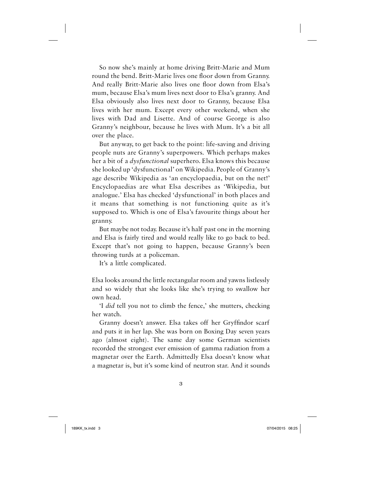So now she's mainly at home driving Britt-Marie and Mum round the bend. Britt-Marie lives one floor down from Granny. And really Britt-Marie also lives one floor down from Elsa's mum, because Elsa's mum lives next door to Elsa's granny. And Elsa obviously also lives next door to Granny, because Elsa lives with her mum. Except every other weekend, when she lives with Dad and Lisette. And of course George is also Granny's neighbour, because he lives with Mum. It's a bit all over the place.

But anyway, to get back to the point: life-saving and driving people nuts are Granny's superpowers. Which perhaps makes her a bit of a *dysfunctional* superhero. Elsa knows this because she looked up 'dysfunctional' on Wikipedia. People of Granny's age describe Wikipedia as 'an encyclopaedia, but on the net!' Encyclopaedias are what Elsa describes as 'Wikipedia, but analogue.' Elsa has checked 'dysfunctional' in both places and it means that something is not functioning quite as it's supposed to. Which is one of Elsa's favourite things about her granny.

But maybe not today. Because it's half past one in the morning and Elsa is fairly tired and would really like to go back to bed. Except that's not going to happen, because Granny's been throwing turds at a policeman.

It's a little complicated.

Elsa looks around the little rectangular room and yawns listlessly and so widely that she looks like she's trying to swallow her own head.

'I *did* tell you not to climb the fence,' she mutters, checking her watch.

Granny doesn't answer. Elsa takes off her Gryffindor scarf and puts it in her lap. She was born on Boxing Day seven years ago (almost eight). The same day some German scientists recorded the strongest ever emission of gamma radiation from a magnetar over the Earth. Admittedly Elsa doesn't know what a magnetar is, but it's some kind of neutron star. And it sounds

189KK\_tx.indd 3 89KK\_tx.indd 07/04/2015 08:25 7/04/2015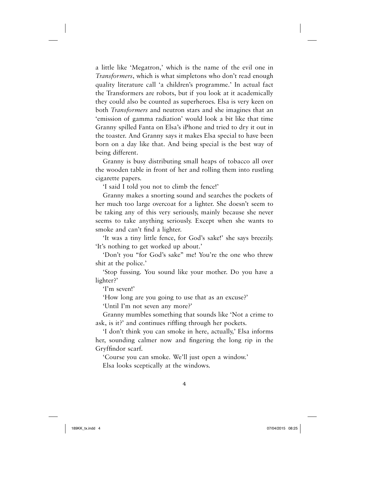a little like 'Megatron,' which is the name of the evil one in *Transformers*, which is what simpletons who don't read enough quality literature call 'a children's programme.' In actual fact the Transformers are robots, but if you look at it academically they could also be counted as superheroes. Elsa is very keen on both *Transformers* and neutron stars and she imagines that an 'emission of gamma radiation' would look a bit like that time Granny spilled Fanta on Elsa's iPhone and tried to dry it out in the toaster. And Granny says it makes Elsa special to have been born on a day like that. And being special is the best way of being different.

Granny is busy distributing small heaps of tobacco all over the wooden table in front of her and rolling them into rustling cigarette papers.

'I said I told you not to climb the fence!'

Granny makes a snorting sound and searches the pockets of her much too large overcoat for a lighter. She doesn't seem to be taking any of this very seriously, mainly because she never seems to take anything seriously. Except when she wants to smoke and can't find a lighter.

'It was a tiny little fence, for God's sake!' she says breezily. 'It's nothing to get worked up about.'

'Don't you "for God's sake" me! You're the one who threw shit at the police.'

'Stop fussing. You sound like your mother. Do you have a lighter?'

'I'm seven!'

'How long are you going to use that as an excuse?'

'Until I'm not seven any more?'

Granny mumbles something that sounds like 'Not a crime to ask, is it?' and continues riffling through her pockets.

'I don't think you can smoke in here, actually,' Elsa informs her, sounding calmer now and fingering the long rip in the Gryffindor scarf.

'Course you can smoke. We'll just open a window.' Elsa looks sceptically at the windows.

189KK\_tx.indd 4 89KK\_tx.indd 07/04/2015 08:25 7/04/2015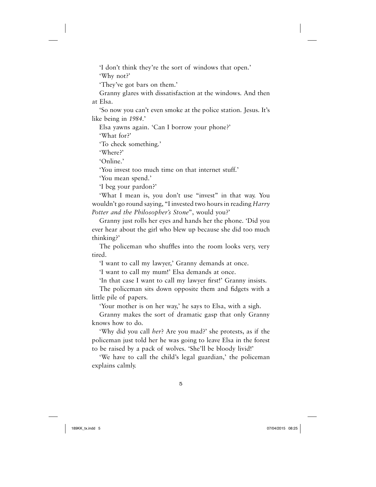'I don't think they're the sort of windows that open.'

'Why not?'

'They've got bars on them.'

Granny glares with dissatisfaction at the windows. And then at Elsa.

'So now you can't even smoke at the police station. Jesus. It's like being in *1984.*'

Elsa yawns again. 'Can I borrow your phone?'

'What for?'

'To check something.'

'Where?'

'Online.'

'You invest too much time on that internet stuff.'

'You mean spend.'

'I beg your pardon?'

'What I mean is, you don't use "invest" in that way. You wouldn't go round saying, "I invested two hours in reading *Harry Potter and the Philosopher's Stone*", would you?'

Granny just rolls her eyes and hands her the phone. 'Did you ever hear about the girl who blew up because she did too much thinking?'

The policeman who shuffles into the room looks very, very tired.

'I want to call my lawyer,' Granny demands at once.

'I want to call my mum!' Elsa demands at once.

'In that case I want to call my lawyer first!' Granny insists.

The policeman sits down opposite them and fidgets with a little pile of papers.

'Your mother is on her way,' he says to Elsa, with a sigh.

Granny makes the sort of dramatic gasp that only Granny knows how to do.

'Why did you call *her*? Are you mad?' she protests, as if the policeman just told her he was going to leave Elsa in the forest to be raised by a pack of wolves. 'She'll be bloody livid!'

'We have to call the child's legal guardian,' the policeman explains calmly.

5

189KK\_tx.indd 5 89KK\_tx.indd 5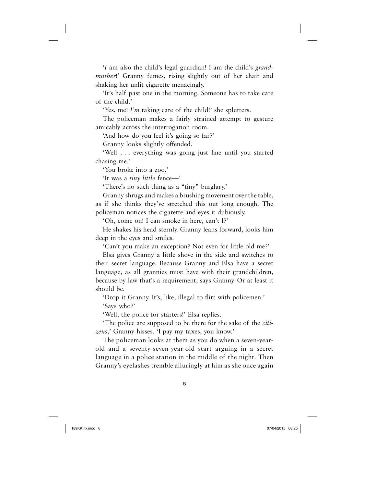'*I* am also the child's legal guardian! I am the child's *grandmother*!' Granny fumes, rising slightly out of her chair and shaking her unlit cigarette menacingly.

'It's half past one in the morning. Someone has to take care of the child.'

'Yes, me! I'm taking care of the child!' she splutters.

The policeman makes a fairly strained attempt to gesture amicably across the interrogation room.

'And how do you feel it's going so far?'

Granny looks slightly offended.

'Well . . . everything was going just fine until you started chasing me.'

'You broke into a zoo.'

'It was a *tiny little* fence—'

'There's no such thing as a "tiny" burglary.'

Granny shrugs and makes a brushing movement over the table, as if she thinks they've stretched this out long enough. The policeman notices the cigarette and eyes it dubiously.

'Oh, come on! I can smoke in here, can't I?'

He shakes his head sternly. Granny leans forward, looks him deep in the eyes and smiles.

'Can't you make an exception? Not even for little old me?'

Elsa gives Granny a little shove in the side and switches to their secret language. Because Granny and Elsa have a secret language, as all grannies must have with their grandchildren, because by law that's a requirement, says Granny. Or at least it should be.

'Drop it Granny. It's, like, illegal to flirt with policemen.' 'Says who?'

'Well, the police for starters!' Elsa replies.

'The police are supposed to be there for the sake of the *citizens*,' Granny hisses. 'I pay my taxes, you know.'

The policeman looks at them as you do when a seven-yearold and a seventy-seven-year-old start arguing in a secret language in a police station in the middle of the night. Then Granny's eyelashes tremble alluringly at him as she once again

6

189KK\_tx.indd 6 89KK\_tx.indd 07/04/2015 08:25 7/04/2015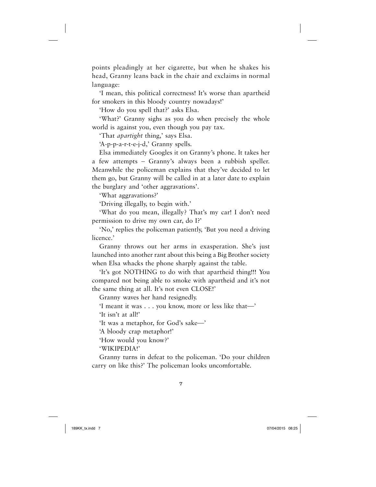points pleadingly at her cigarette, but when he shakes his head, Granny leans back in the chair and exclaims in normal language:

'I mean, this political correctness! It's worse than apartheid for smokers in this bloody country nowadays!'

'How do you spell that?' asks Elsa.

'What?' Granny sighs as you do when precisely the whole world is against you, even though you pay tax.

'That *apartight* thing,' says Elsa.

'A-p-p-a-r-t-e-j-d,' Granny spells.

Elsa immediately Googles it on Granny's phone. It takes her a few attempts – Granny's always been a rubbish speller. Meanwhile the policeman explains that they've decided to let them go, but Granny will be called in at a later date to explain the burglary and 'other aggravations'.

'What aggravations?'

'Driving illegally, to begin with.'

'What do you mean, illegally? That's my car! I don't need permission to drive my own car, do I?'

'No,' replies the policeman patiently, 'But you need a driving licence.'

Granny throws out her arms in exasperation. She's just launched into another rant about this being a Big Brother society when Elsa whacks the phone sharply against the table.

'It's got NOTHING to do with that apartheid thing!!! You compared not being able to smoke with apartheid and it's not the same thing at all. It's not even CLOSE!'

Granny waves her hand resignedly.

'I meant it was . . . you know, more or less like that—'

'It isn't at all!'

'It was a metaphor, for God's sake—'

'A bloody crap metaphor!'

'How would you know?'

'WIKIPEDIA!'

Granny turns in defeat to the policeman. 'Do your children carry on like this?' The policeman looks uncomfortable.

7

189KK\_tx.indd 7 89KK\_tx.indd 07/04/2015 08:25 7/04/2015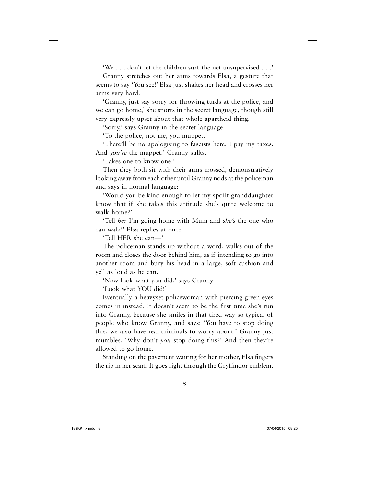'We . . . don't let the children surf the net unsupervised . . .'

Granny stretches out her arms towards Elsa, a gesture that seems to say 'You see!' Elsa just shakes her head and crosses her arms very hard.

'Granny, just say sorry for throwing turds at the police, and we can go home,' she snorts in the secret language, though still very expressly upset about that whole apartheid thing.

'Sorry,' says Granny in the secret language.

'To the police, not me, you muppet.'

'There'll be no apologising to fascists here. I pay my taxes. And *you're* the muppet.' Granny sulks.

'Takes one to know one.'

Then they both sit with their arms crossed, demonstratively looking away from each other until Granny nods at the policeman and says in normal language:

'Would you be kind enough to let my spoilt granddaughter know that if she takes this attitude she's quite welcome to walk home?'

'Tell *her* I'm going home with Mum and *she's* the one who can walk!' Elsa replies at once.

'Tell HER she can—'

The policeman stands up without a word, walks out of the room and closes the door behind him, as if intending to go into another room and bury his head in a large, soft cushion and yell as loud as he can.

'Now look what you did,' says Granny.

'Look what YOU did!'

Eventually a heavyset policewoman with piercing green eyes comes in instead. It doesn't seem to be the first time she's run into Granny, because she smiles in that tired way so typical of people who know Granny, and says: 'You have to stop doing this, we also have real criminals to worry about.' Granny just mumbles, 'Why don't *you* stop doing this?' And then they're allowed to go home.

Standing on the pavement waiting for her mother, Elsa fingers the rip in her scarf. It goes right through the Gryffindor emblem.

8

189KK\_tx.indd 8 89KK\_tx.indd 07/04/2015 08:25 7/04/2015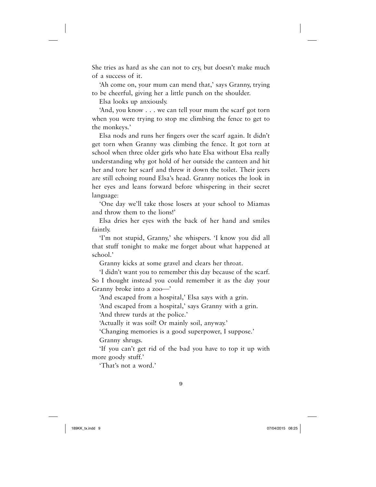She tries as hard as she can not to cry, but doesn't make much of a success of it.

'Ah come on, your mum can mend that,' says Granny, trying to be cheerful, giving her a little punch on the shoulder.

Elsa looks up anxiously.

'And, you know . . . we can tell your mum the scarf got torn when you were trying to stop me climbing the fence to get to the monkeys.'

Elsa nods and runs her fingers over the scarf again. It didn't get torn when Granny was climbing the fence. It got torn at school when three older girls who hate Elsa without Elsa really understanding why got hold of her outside the canteen and hit her and tore her scarf and threw it down the toilet. Their jeers are still echoing round Elsa's head. Granny notices the look in her eyes and leans forward before whispering in their secret language:

'One day we'll take those losers at your school to Miamas and throw them to the lions!'

Elsa dries her eyes with the back of her hand and smiles faintly.

'I'm not stupid, Granny,' she whispers. 'I know you did all that stuff tonight to make me forget about what happened at school.'

Granny kicks at some gravel and clears her throat.

'I didn't want you to remember this day because of the scarf. So I thought instead you could remember it as the day your Granny broke into a zoo—'

'And escaped from a hospital,' Elsa says with a grin.

'And escaped from a hospital,' says Granny with a grin.

'And threw turds at the police.'

'Actually it was soil! Or mainly soil, anyway.'

'Changing memories is a good superpower, I suppose.' Granny shrugs.

'If you can't get rid of the bad you have to top it up with more goody stuff.'

'That's not a word.'

9

189KK\_tx.indd 9 89KK\_tx.indd 9 89KK\_tx.indd 9 89KK\_tx.indd 9 89KK\_tx.indd 9 89KK\_tx.indd 9 89KK\_tx.indd 9 89KK